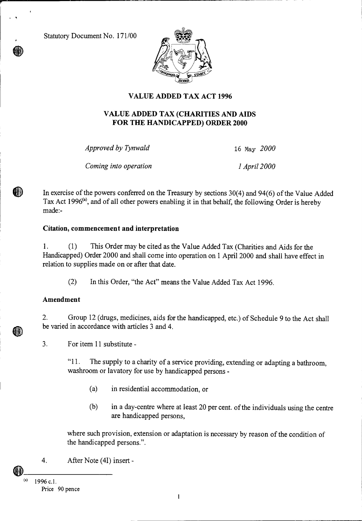Statutory Document No. 171/00



# **VALUE ADDED TAX ACT 1996**

## **VALUE ADDED TAX (CHARITIES AND AIDS FOR THE HANDICAPPED) ORDER 2000**

*Approved by Tynwald* 16 May *2000* 

*Coming into operation 1 April 2000* 

In exercise of the powers conferred on the Treasury by sections 30(4) and 94(6) of the Value Added Tax Act 1996<sup>(a)</sup>, and of all other powers enabling it in that behalf, the following Order is hereby made:-

## **Citation, commencement and interpretation**

1. (1) This Order may be cited as the Value Added Tax (Charities and Aids for the Handicapped) Order 2000 and shall come into operation on 1 April 2000 and shall have effect in relation to supplies made on or after that date.

(2) In this Order, "the Act" means the Value Added Tax Act 1996.

## **Amendment**

m

2. Group 12 (drugs, medicines, aids for the handicapped, etc.) of Schedule 9 to the Act shall be varied in accordance with articles 3 and 4.

3. For item 11 substitute -

"11. The supply to a charity of a service providing, extending or adapting a bathroom, washroom or lavatory for use by handicapped persons -

- (a) in residential accommodation, or
- (b) in a day-centre where at least 20 per cent. of the individuals using the centre are handicapped persons,

where such provision, extension or adaptation is necessary by reason of the condition of the handicapped persons.".

4. After Note (4I) insert -

<sup>1996</sup> c.1. Price 90 pence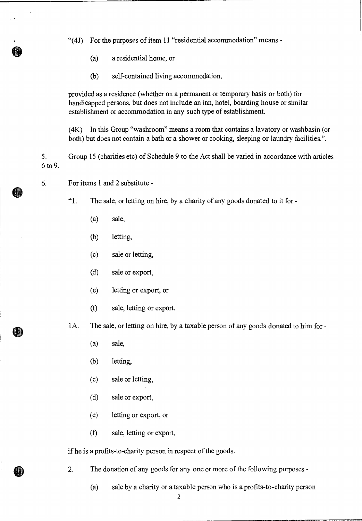"(4J) For the purposes of item 11 "residential accommodation" means -

- (a) a residential home, or
- (b) self-contained living accommodation,

provided as a residence (whether on a permanent or temporary basis or both) for handicapped persons, but does not include an inn, hotel, boarding house or similar establishment or accommodation in any such type of establishment.

(4K) In this Group "washroom" means a room that contains a lavatory or washbasin (or both) but does not contain a bath or a shower or cooking, sleeping or laundry facilities.".

5. Group 15 (charities etc) of Schedule 9 to the Act shall be varied in accordance with articles 6 to 9.

6. For items 1 and 2 substitute -

**it** 

- "1. The sale, or letting on hire, by a charity of any goods donated to it for
	- (a) sale,
	- (b) letting,
	- (c) sale or letting,
	- (d) sale or export,
	- (e) letting or export, or
	- (f) sale, letting or export.
- 1A. The sale, or letting on hire, by a taxable person of any goods donated to him for
	- (a) sale,
	- (b) letting,
	- (c) sale or letting,
	- (d) sale or export,
	- (e) letting or export, or
	- (f) sale, letting or export,

if he is a profits-to-charity person in respect of the goods.

- 2. The donation of any goods for any one or more of the following purposes
	- (a) sale by a charity or a taxable person who is a profits-to-charity person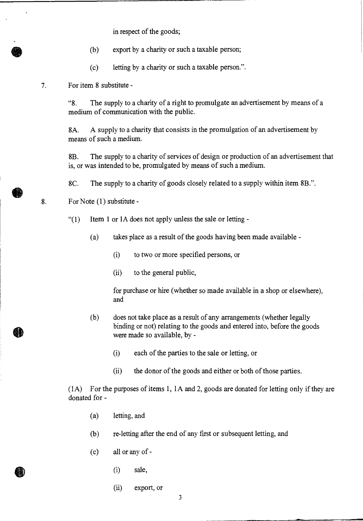in respect of the goods;

- (b) export by a charity or such a taxable person;
- (c) letting by a charity or such a taxable person.".

#### 7. For item 8 substitute -

"8. The supply to a charity of a right to promulgate an advertisement by means of a medium of communication with the public.

8A. A supply to a charity that consists in the promulgation of an advertisement by means of such a medium.

8B. The supply to a charity of services of design or production of an advertisement that is, or was intended to be, promulgated by means of such a medium.

8C. The supply to a charity of goods closely related to a supply within item 8B.".

8. For Note (1) substitute -

 $''(1)$  Item 1 or 1A does not apply unless the sale or letting -

- (a) takes place as a result of the goods having been made available
	- (i) to two or more specified persons, or
	- (ii) to the general public,

for purchase or hire (whether so made available in a shop or elsewhere), and

- (b) does not take place as a result of any arrangements (whether legally binding or not) relating to the goods and entered into, before the goods were made so available, by -
	- (i) each of the parties to the sale or letting, or
	- (ii) the donor of the goods and either or both of those parties.

(1 A) For the purposes of items 1, 1 A and 2, goods are donated for letting only if they are donated for -

- (a) letting, and
- (b) re-letting after the end of any first or subsequent letting, and
- (c) all or any of
	- (i) sale,
	- (ii) export, or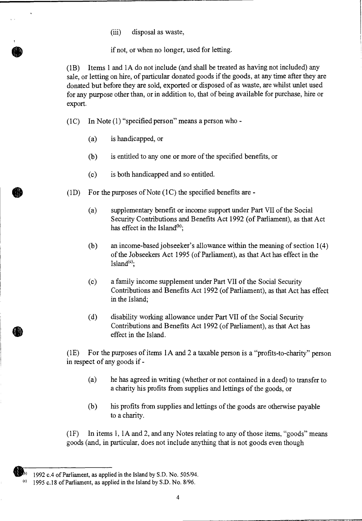(iii) disposal as waste,

if not, or when no longer, used for letting.

(1B) Items 1 and 1A do not include (and shall be treated as having not included) any sale, or letting on hire, of particular donated goods if the goods, at any time after they are donated but before they are sold, exported or disposed of as waste, are whilst unlet used for any purpose other than, or in addition to, that of being available for purchase, hire or export.

(1C) In Note (1) "specified person" means a person who -

- (a) is handicapped, or
- (b) is entitled to any one or more of the specified benefits, or
- (c) is both handicapped and so entitled.
- $(1D)$  For the purposes of Note  $(1C)$  the specified benefits are -
	- (a) supplementary benefit or income support under Part VII of the Social Security Contributions and Benefits Act 1992 (of Parliament), as that Act has effect in the Island $<sup>(b)</sup>$ ;</sup>
	- (b) an income-based jobseeker's allowance within the meaning of section 1(4) of the Jobseekers Act 1995 (of Parliament), as that Act has effect in the Island $<sup>(c)</sup>$ ;</sup>
	- (c) a family income supplement under Part VII of the Social Security Contributions and Benefits Act 1992 (of Parliament), as that Act has effect in the Island;
	- (d) disability working allowance under Part VII of the Social Security Contributions and Benefits Act 1992 (of Parliament), as that Act has effect in the Island.

(1E) For the purposes of items lA and 2 a taxable person is a "profits-to-charity" person in respect of any goods if -

- (a) he has agreed in writing (whether or not contained in a deed) to transfer to a charity his profits from supplies and lettings of the goods, or
- (b) his profits from supplies and lettings of the goods are otherwise payable to a charity.

(1F) In items 1, lA and 2, and any Notes relating to any of those items, "goods" means goods (and, in particular, does not include anything that is not goods even though

b) 1992 c.4 of Parliament, as applied in the Island by S.D. No. 505/94.

 $(0)$  1995 c.18 of Parliament, as applied in the Island by S.D. No. 8/96.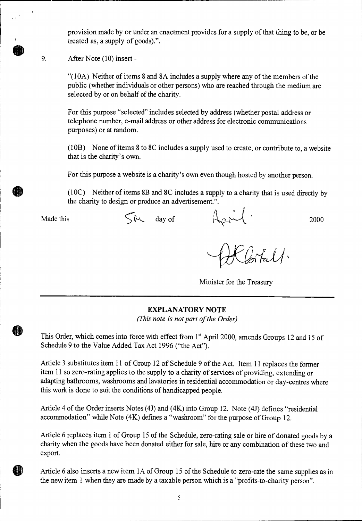provision made by or under an enactment provides for a supply of that thing to be, or be treated as, a supply of goods).".

9. After Note (10) insert -

"(10A) Neither of items 8 and 8A includes a supply where any of the members of the public (whether individuals or other persons) who are reached through the medium are selected by or on behalf of the charity.

For this purpose "selected" includes selected by address (whether postal address or telephone number, e-mail address or other address for electronic communications purposes) or at random.

(10B) None of items 8 to 8C includes a supply used to create, or contribute to, a website that is the charity's own.

For this purpose a website is a charity's own even though hosted by another person.

(10C) Neither of items 8B and 8C includes a supply to a charity that is used directly by the charity to design or produce an advertisement.".

Made this  $\int \hat{w} \, dw$  day of  $\int \frac{1}{2\pi} \int \frac{1}{1}$  2000

Minister for the Treasury

#### **EXPLANATORY NOTE**

*(This note is not part of the Order)* 

This Order, which comes into force with effect from  $1<sup>st</sup>$  April 2000, amends Groups 12 and 15 of Schedule 9 to the Value Added Tax Act 1996 ("the Act").

Article 3 substitutes item 11 of Group 12 of Schedule 9 of the Act. Item 11 replaces the former item 11 so zero-rating applies to the supply to a charity of services of providing, extending or adapting bathrooms, washrooms and lavatories in residential accommodation or day-centres where this work is done to suit the conditions of handicapped people.

Article 4 of the Order inserts Notes (4J) and (4K) into Group 12. Note (4J) defines "residential accommodation" while Note (4K) defines a "washroom" for the purpose of Group 12.

Article 6 replaces item 1 of Group 15 of the Schedule, zero-rating sale or hire of donated goods by a charity when the goods have been donated either for sale, hire or any combination of these two and export.

Article 6 also inserts a new item 1A of Group 15 of the Schedule to zero-rate the same supplies as in the new item 1 when they are made by a taxable person which is a "profits-to-charity person".